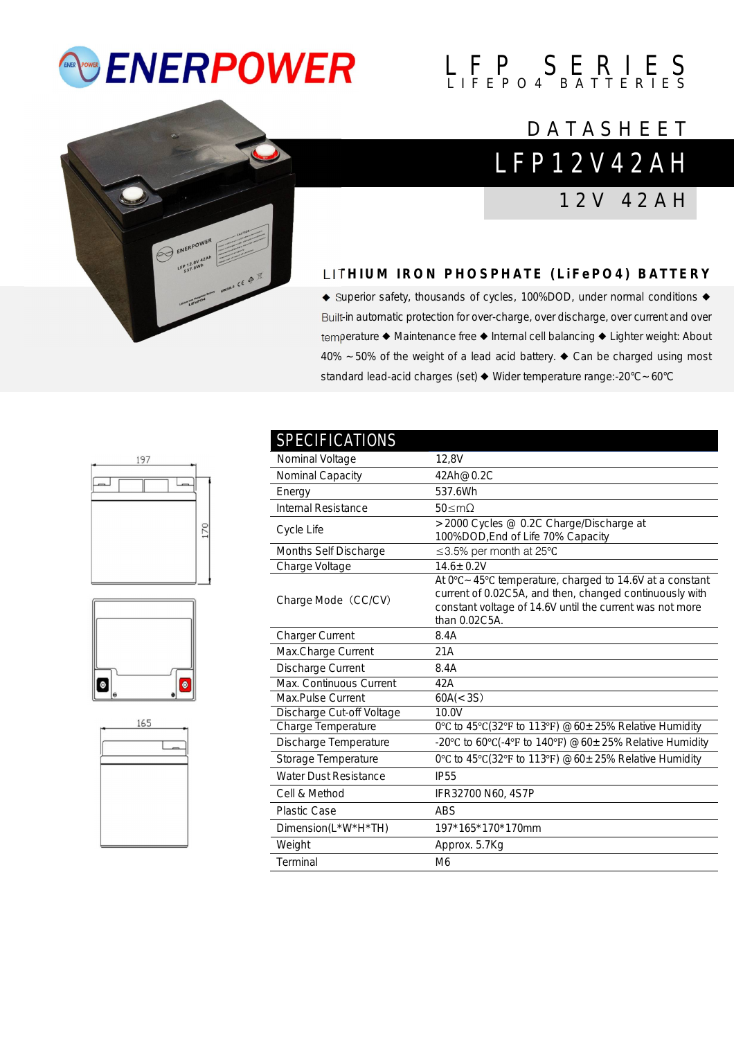# *<b>ENERPOWER*

# $L$   $F$   $P$   $S$   $E$   $R$   $I$   $E$   $S$

### **DATASHEET**



## L F P 1 2 V 4 2 A H

1 2 V 4 2 A H

#### **LITHIUM IRON PHOSPHATE (LIFEPO4) BATTERY**

◆ Superior safety, thousands of cycles, 100%DOD, under normal conditions ◆ Built-in automatic protection for over-charge, over discharge, over current and over temperature ◆ Maintenance free ◆ Internal cell balancing ◆ Lighter weight: About 40% ~50% of the weight of a lead acid battery. ◆ Can be charged using most standard lead-acid charges (set) ◆ Wider temperature range:-20°C~60°C







| <b>SPECIFICATIONS</b>        |                                                                                                                                                                                                             |
|------------------------------|-------------------------------------------------------------------------------------------------------------------------------------------------------------------------------------------------------------|
| Nominal Voltage              | 12,8V                                                                                                                                                                                                       |
| Nominal Capacity             | 42Ah@0.2C                                                                                                                                                                                                   |
| Energy                       | 537.6Wh                                                                                                                                                                                                     |
| <b>Internal Resistance</b>   | 50 < m <sub>O</sub>                                                                                                                                                                                         |
| Cycle Life                   | >2000 Cycles @ 0.2C Charge/Discharge at<br>100%DOD, End of Life 70% Capacity                                                                                                                                |
| Months Self Discharge        | ≤3.5% per month at 25°C                                                                                                                                                                                     |
| Charge Voltage               | $14.6 \pm 0.2V$                                                                                                                                                                                             |
| Charge Mode (CC/CV)          | At $0^{\circ}$ C ~ 45°C temperature, charged to 14.6V at a constant<br>current of 0.02C5A, and then, changed continuously with<br>constant voltage of 14.6V until the current was not more<br>than 0.02C5A. |
| <b>Charger Current</b>       | 8.4A                                                                                                                                                                                                        |
| Max.Charge Current           | 21A                                                                                                                                                                                                         |
| Discharge Current            | 8.4A                                                                                                                                                                                                        |
| Max. Continuous Current      | 42A                                                                                                                                                                                                         |
| Max.Pulse Current            | 60A(<3S)                                                                                                                                                                                                    |
| Discharge Cut-off Voltage    | 10.0V                                                                                                                                                                                                       |
| Charge Temperature           | 0°C to 45°C(32°F to 113°F) $@60 \pm 25\%$ Relative Humidity                                                                                                                                                 |
| Discharge Temperature        | -20°C to 60°C(-4°F to 140°F) @60±25% Relative Humidity                                                                                                                                                      |
| Storage Temperature          | 0°C to 45°C(32°F to 113°F) @60±25% Relative Humidity                                                                                                                                                        |
| <b>Water Dust Resistance</b> | <b>IP55</b>                                                                                                                                                                                                 |
| Cell & Method                | IFR32700 N60, 4S7P                                                                                                                                                                                          |
| <b>Plastic Case</b>          | <b>ABS</b>                                                                                                                                                                                                  |
| Dimension(L*W*H*TH)          | 197*165*170*170mm                                                                                                                                                                                           |
| Weight                       | Approx. 5.7Kg                                                                                                                                                                                               |
| Terminal                     | M <sub>6</sub>                                                                                                                                                                                              |